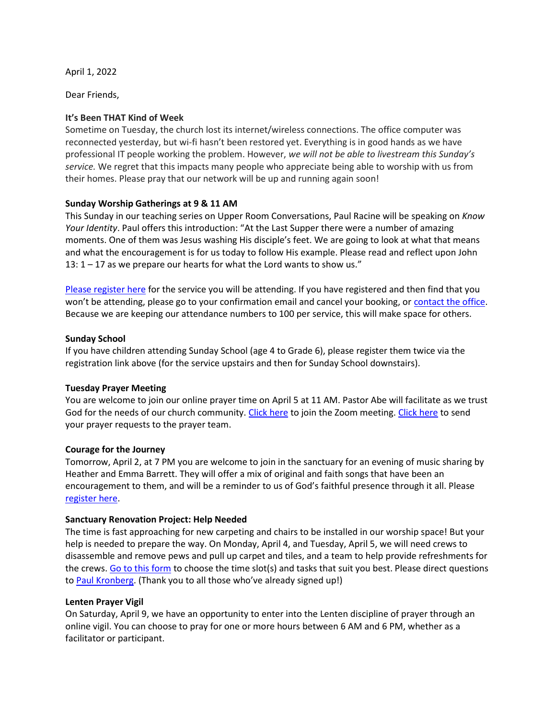April 1, 2022

Dear Friends,

# **It's Been THAT Kind of Week**

Sometime on Tuesday, the church lost its internet/wireless connections. The office computer was reconnected yesterday, but wi-fi hasn't been restored yet. Everything is in good hands as we have professional IT people working the problem. However, *we will not be able to livestream this Sunday's service.* We regret that this impacts many people who appreciate being able to worship with us from their homes. Please pray that our network will be up and running again soon!

## **Sunday Worship Gatherings at 9 & 11 AM**

This Sunday in our teaching series on Upper Room Conversations, Paul Racine will be speaking on *Know Your Identity*. Paul offers this introduction: "At the Last Supper there were a number of amazing moments. One of them was Jesus washing His disciple's feet. We are going to look at what that means and what the encouragement is for us today to follow His example. Please read and reflect upon John 13: 1 – 17 as we prepare our hearts for what the Lord wants to show us."

[Please register here](https://rsvp.church/r/gedIlGjG) for the service you will be attending. If you have registered and then find that you won't be attending, please go to your confirmation email and cancel your booking, or [contact the office.](mailto:office@sunnysidechurch.ca) Because we are keeping our attendance numbers to 100 per service, this will make space for others.

## **Sunday School**

If you have children attending Sunday School (age 4 to Grade 6), please register them twice via the registration link above (for the service upstairs and then for Sunday School downstairs).

#### **Tuesday Prayer Meeting**

You are welcome to join our online prayer time on April 5 at 11 AM. Pastor Abe will facilitate as we trust God for the needs of our church community. [Click here](https://us06web.zoom.us/j/85457560746?pwd=QU1TL2NXeWhOQWZzWWNUTEtaUkpjUT09) to join the Zoom meeting[. Click here](mailto:prayer@sunnysidechurch.ca) to send your prayer requests to the prayer team.

#### **Courage for the Journey**

Tomorrow, April 2, at 7 PM you are welcome to join in the sanctuary for an evening of music sharing by Heather and Emma Barrett. They will offer a mix of original and faith songs that have been an encouragement to them, and will be a reminder to us of God's faithful presence through it all. Please [register here.](https://rsvp.church/r/gedIlGjG)

#### **Sanctuary Renovation Project: Help Needed**

The time is fast approaching for new carpeting and chairs to be installed in our worship space! But your help is needed to prepare the way. On Monday, April 4, and Tuesday, April 5, we will need crews to disassemble and remove pews and pull up carpet and tiles, and a team to help provide refreshments for the crews. [Go to this form](https://docs.google.com/forms/d/e/1FAIpQLSdVwdY1zm31x1n338-Fu_XnQthtbY4EEKQSHZoMGNmmcvcggw/viewform?usp=sf_link) to choose the time slot(s) and tasks that suit you best. Please direct questions to [Paul Kronberg.](mailto:paul@kronberg.ca) (Thank you to all those who've already signed up!)

#### **Lenten Prayer Vigil**

On Saturday, April 9, we have an opportunity to enter into the Lenten discipline of prayer through an online vigil. You can choose to pray for one or more hours between 6 AM and 6 PM, whether as a facilitator or participant.